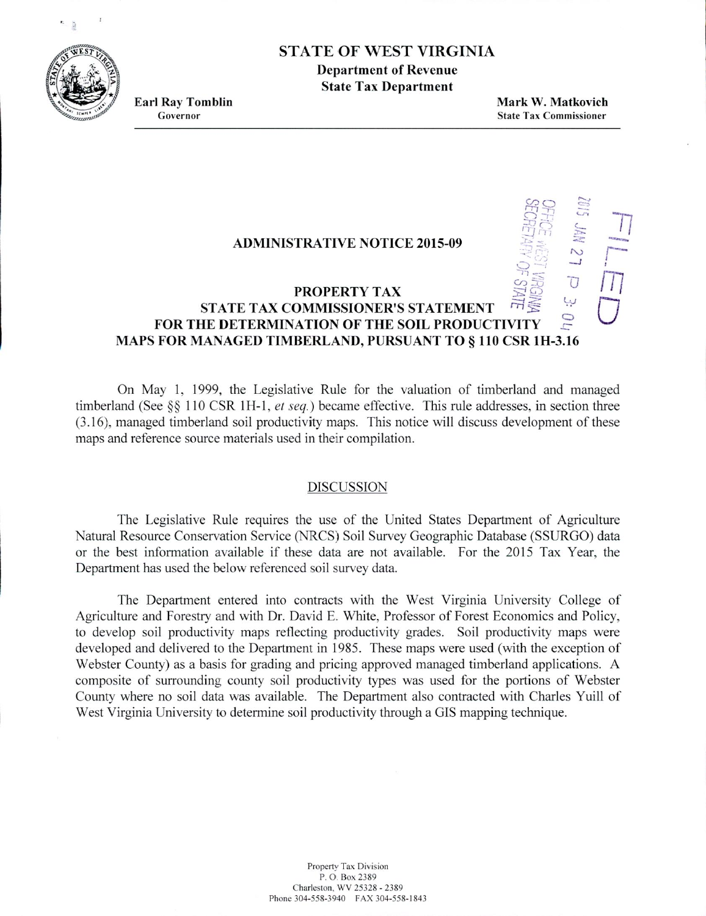STATE OF WEST VIRGINIA

**Department of Revenue State Tax Department**

**Earl Ray Tomblin** Governor

**fl c**

> **Mark W. Matkovich State Tax Commissioner**

> > **(**

—J

 $T_{\rm T}$ 

 $\vec{C}$ 

## **ADMINISTRATIVE NOTICE 2015-09**

## **PROPERTY TAX**  $\mathbb{E}$ **STATE TAX COMMISSIONER'S STATEMENT DLI FOR THE DETERMINATION OF THE SOIL PRODUCTIVITY MAPS FOR MANAGED TIMBERLAND, PURSUANT TO** § **110 CSR 111-3.16**

On May 1, 1999. the Legislative Rule for the valuation of timberland and managed timberland (See  $\S$ § 110 CSR 1H-1, *et seq.*) became effective. This rule addresses, in section three (3.16), managed timberland soil productivity maps. This notice will discuss development of these maps and reference source materials used in their compilation.

## DISCUSSION

The Legislative Rule requires the use of the United States Department of Agriculture Natural Resource Conservation Service (NRCS) Soil Survey Geographic Database (SSURGO) data or the best information available if these data are not available. For the 2015 Tax Year, the Department has used the below referenced soil survey data.

The Department entered into contracts with the West Virginia University College of Agriculture and Forestry and with Dr. David F. White, Professor of Forest Economies and Policy, to develop soil productivity maps reflecting productivity grades. Soil productivity maps were developed and delivered to the Department in 1985. These maps were used (with the exception of Webster County) as a basis for grading and pricing approved managed timberland applications. A composite of surrounding county soil productivity types was used for the portions of Webster County where no soil data was available. The Department also contracted with Charles YuiIl of West Virginia University to determine soil productivity through a GIS mapping technique.